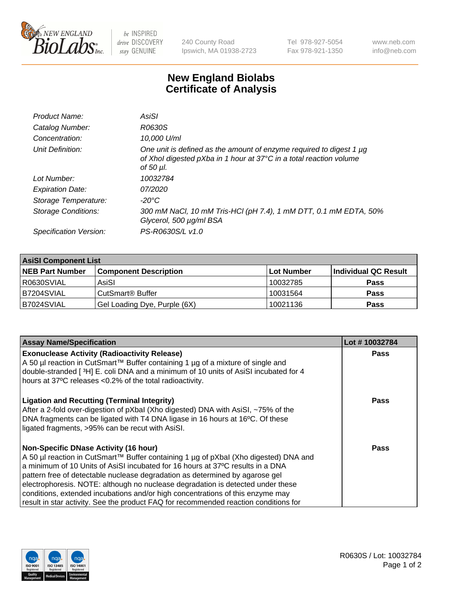

 $be$  INSPIRED drive DISCOVERY stay GENUINE

240 County Road Ipswich, MA 01938-2723 Tel 978-927-5054 Fax 978-921-1350 www.neb.com info@neb.com

## **New England Biolabs Certificate of Analysis**

| Product Name:              | AsiSI                                                                                                                                                       |
|----------------------------|-------------------------------------------------------------------------------------------------------------------------------------------------------------|
| Catalog Number:            | R0630S                                                                                                                                                      |
| Concentration:             | 10,000 U/ml                                                                                                                                                 |
| Unit Definition:           | One unit is defined as the amount of enzyme required to digest 1 µg<br>of Xhol digested pXba in 1 hour at 37°C in a total reaction volume<br>of 50 $\mu$ l. |
| Lot Number:                | 10032784                                                                                                                                                    |
| <b>Expiration Date:</b>    | 07/2020                                                                                                                                                     |
| Storage Temperature:       | -20°C                                                                                                                                                       |
| <b>Storage Conditions:</b> | 300 mM NaCl, 10 mM Tris-HCl (pH 7.4), 1 mM DTT, 0.1 mM EDTA, 50%<br>Glycerol, 500 µg/ml BSA                                                                 |
| Specification Version:     | PS-R0630S/L v1.0                                                                                                                                            |
|                            |                                                                                                                                                             |

| <b>AsiSI Component List</b> |                              |            |                      |  |  |
|-----------------------------|------------------------------|------------|----------------------|--|--|
| <b>NEB Part Number</b>      | <b>Component Description</b> | Lot Number | Individual QC Result |  |  |
| R0630SVIAL                  | AsiSI                        | 10032785   | <b>Pass</b>          |  |  |
| B7204SVIAL                  | CutSmart <sup>®</sup> Buffer | 10031564   | <b>Pass</b>          |  |  |
| B7024SVIAL                  | Gel Loading Dye, Purple (6X) | 10021136   | <b>Pass</b>          |  |  |

| <b>Assay Name/Specification</b>                                                                                                                                                                                                                                              | Lot #10032784 |
|------------------------------------------------------------------------------------------------------------------------------------------------------------------------------------------------------------------------------------------------------------------------------|---------------|
| <b>Exonuclease Activity (Radioactivity Release)</b><br>A 50 µl reaction in CutSmart™ Buffer containing 1 µg of a mixture of single and                                                                                                                                       | <b>Pass</b>   |
| double-stranded [3H] E. coli DNA and a minimum of 10 units of AsiSI incubated for 4<br>hours at 37°C releases <0.2% of the total radioactivity.                                                                                                                              |               |
| <b>Ligation and Recutting (Terminal Integrity)</b><br>After a 2-fold over-digestion of pXbal (Xho digested) DNA with AsiSI, ~75% of the<br>DNA fragments can be ligated with T4 DNA ligase in 16 hours at 16°C. Of these<br>ligated fragments, >95% can be recut with AsiSI. | Pass          |
| <b>Non-Specific DNase Activity (16 hour)</b>                                                                                                                                                                                                                                 | Pass          |
| A 50 µl reaction in CutSmart™ Buffer containing 1 µg of pXbal (Xho digested) DNA and                                                                                                                                                                                         |               |
| a minimum of 10 Units of AsiSI incubated for 16 hours at 37°C results in a DNA                                                                                                                                                                                               |               |
| pattern free of detectable nuclease degradation as determined by agarose gel                                                                                                                                                                                                 |               |
| electrophoresis. NOTE: although no nuclease degradation is detected under these                                                                                                                                                                                              |               |
| conditions, extended incubations and/or high concentrations of this enzyme may                                                                                                                                                                                               |               |
| result in star activity. See the product FAQ for recommended reaction conditions for                                                                                                                                                                                         |               |